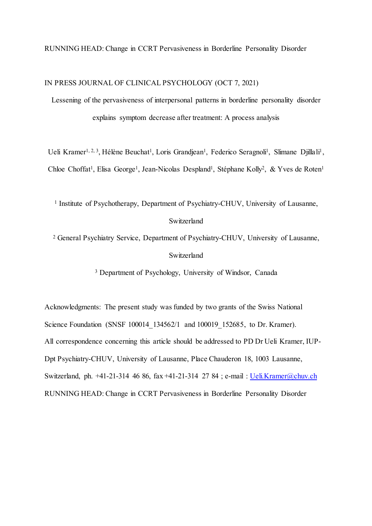#### RUNNING HEAD: Change in CCRT Pervasiveness in Borderline Personality Disorder

IN PRESS JOURNAL OF CLINICAL PSYCHOLOGY (OCT 7, 2021)

Lessening of the pervasiveness of interpersonal patterns in borderline personality disorder explains symptom decrease after treatment: A process analysis

Ueli Kramer<sup>1, 2, 3</sup>, Hélène Beuchat<sup>1</sup>, Loris Grandjean<sup>1</sup>, Federico Seragnoli<sup>1</sup>, Slimane Djillali<sup>1</sup>, Chloe Choffat<sup>1</sup>, Elisa George<sup>1</sup>, Jean-Nicolas Despland<sup>1</sup>, Stéphane Kolly<sup>2</sup>, & Yves de Roten<sup>1</sup>

<sup>1</sup> Institute of Psychotherapy, Department of Psychiatry-CHUV, University of Lausanne,

# Switzerland

<sup>2</sup> General Psychiatry Service, Department of Psychiatry-CHUV, University of Lausanne, Switzerland

<sup>3</sup> Department of Psychology, University of Windsor, Canada

Acknowledgments: The present study was funded by two grants of the Swiss National Science Foundation (SNSF 100014 134562/1 and 100019 152685, to Dr. Kramer). All correspondence concerning this article should be addressed to PD Dr Ueli Kramer, IUP-Dpt Psychiatry-CHUV, University of Lausanne, Place Chauderon 18, 1003 Lausanne, Switzerland, ph. +41-21-314 46 86, fax +41-21-314 27 84 ; e-mail : [Ueli.Kramer@chuv.ch](mailto:Ueli.Kramer@chuv.ch) RUNNING HEAD: Change in CCRT Pervasiveness in Borderline Personality Disorder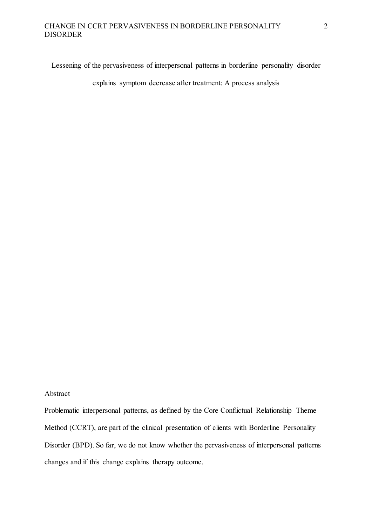Lessening of the pervasiveness of interpersonal patterns in borderline personality disorder

explains symptom decrease after treatment: A process analysis

#### Abstract

Problematic interpersonal patterns, as defined by the Core Conflictual Relationship Theme Method (CCRT), are part of the clinical presentation of clients with Borderline Personality Disorder (BPD). So far, we do not know whether the pervasiveness of interpersonal patterns changes and if this change explains therapy outcome.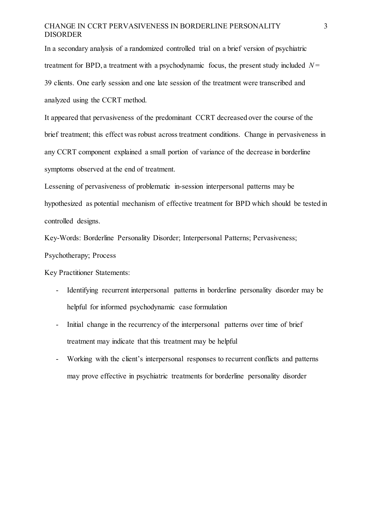In a secondary analysis of a randomized controlled trial on a brief version of psychiatric treatment for BPD, a treatment with a psychodynamic focus, the present study included  $N =$ 39 clients. One early session and one late session of the treatment were transcribed and analyzed using the CCRT method.

It appeared that pervasiveness of the predominant CCRT decreased over the course of the brief treatment; this effect was robust across treatment conditions. Change in pervasiveness in any CCRT component explained a small portion of variance of the decrease in borderline symptoms observed at the end of treatment.

Lessening of pervasiveness of problematic in-session interpersonal patterns may be hypothesized as potential mechanism of effective treatment for BPD which should be tested in controlled designs.

Key-Words: Borderline Personality Disorder; Interpersonal Patterns; Pervasiveness;

Psychotherapy; Process

Key Practitioner Statements:

- Identifying recurrent interpersonal patterns in borderline personality disorder may be helpful for informed psychodynamic case formulation
- Initial change in the recurrency of the interpersonal patterns over time of brief treatment may indicate that this treatment may be helpful
- Working with the client's interpersonal responses to recurrent conflicts and patterns may prove effective in psychiatric treatments for borderline personality disorder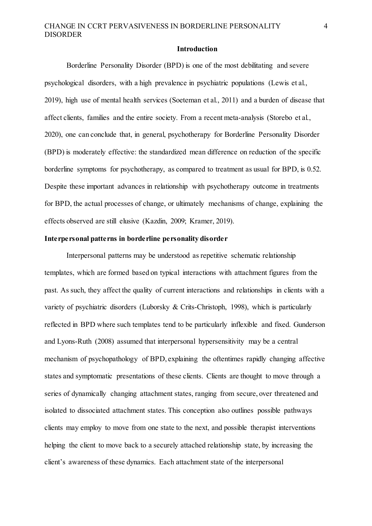#### **Introduction**

Borderline Personality Disorder (BPD) is one of the most debilitating and severe psychological disorders, with a high prevalence in psychiatric populations (Lewis et al., 2019), high use of mental health services (Soeteman et al., 2011) and a burden of disease that affect clients, families and the entire society. From a recent meta-analysis (Storebo et al., 2020), one can conclude that, in general, psychotherapy for Borderline Personality Disorder (BPD) is moderately effective: the standardized mean difference on reduction of the specific borderline symptoms for psychotherapy, as compared to treatment as usual for BPD, is 0.52. Despite these important advances in relationship with psychotherapy outcome in treatments for BPD, the actual processes of change, or ultimately mechanisms of change, explaining the effects observed are still elusive (Kazdin, 2009; Kramer, 2019).

## **Interpersonal patterns in borderline personality disorder**

Interpersonal patterns may be understood as repetitive schematic relationship templates, which are formed based on typical interactions with attachment figures from the past. As such, they affect the quality of current interactions and relationships in clients with a variety of psychiatric disorders (Luborsky & Crits-Christoph, 1998), which is particularly reflected in BPD where such templates tend to be particularly inflexible and fixed. Gunderson and Lyons-Ruth (2008) assumed that interpersonal hypersensitivity may be a central mechanism of psychopathology of BPD, explaining the oftentimes rapidly changing affective states and symptomatic presentations of these clients. Clients are thought to move through a series of dynamically changing attachment states, ranging from secure, over threatened and isolated to dissociated attachment states. This conception also outlines possible pathways clients may employ to move from one state to the next, and possible therapist interventions helping the client to move back to a securely attached relationship state, by increasing the client's awareness of these dynamics. Each attachment state of the interpersonal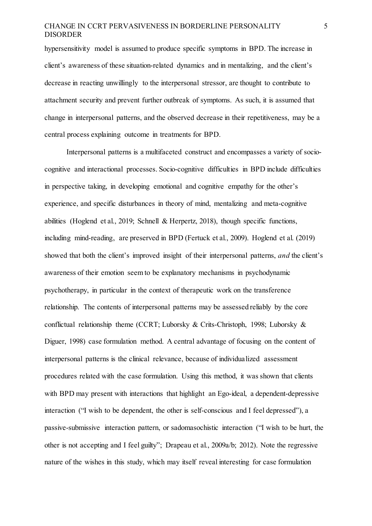hypersensitivity model is assumed to produce specific symptoms in BPD. The increase in client's awareness of these situation-related dynamics and in mentalizing, and the client's decrease in reacting unwillingly to the interpersonal stressor, are thought to contribute to attachment security and prevent further outbreak of symptoms. As such, it is assumed that change in interpersonal patterns, and the observed decrease in their repetitiveness, may be a central process explaining outcome in treatments for BPD.

Interpersonal patterns is a multifaceted construct and encompasses a variety of sociocognitive and interactional processes. Socio-cognitive difficulties in BPD include difficulties in perspective taking, in developing emotional and cognitive empathy for the other's experience, and specific disturbances in theory of mind, mentalizing and meta-cognitive abilities (Hoglend et al., 2019; Schnell & Herpertz, 2018), though specific functions, including mind-reading, are preserved in BPD (Fertuck et al., 2009). Hoglend et al. (2019) showed that both the client's improved insight of their interpersonal patterns, *and* the client's awareness of their emotion seem to be explanatory mechanisms in psychodynamic psychotherapy, in particular in the context of therapeutic work on the transference relationship. The contents of interpersonal patterns may be assessed reliably by the core conflictual relationship theme (CCRT; Luborsky & Crits-Christoph, 1998; Luborsky & Diguer, 1998) case formulation method. A central advantage of focusing on the content of interpersonal patterns is the clinical relevance, because of individualized assessment procedures related with the case formulation. Using this method, it was shown that clients with BPD may present with interactions that highlight an Ego-ideal, a dependent-depressive interaction ("I wish to be dependent, the other is self-conscious and I feel depressed"), a passive-submissive interaction pattern, or sadomasochistic interaction ("I wish to be hurt, the other is not accepting and I feel guilty"; Drapeau et al., 2009a/b; 2012). Note the regressive nature of the wishes in this study, which may itself reveal interesting for case formulation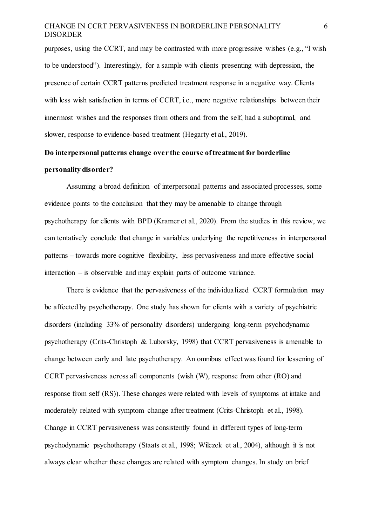purposes, using the CCRT, and may be contrasted with more progressive wishes (e.g., "I wish to be understood"). Interestingly, for a sample with clients presenting with depression, the presence of certain CCRT patterns predicted treatment response in a negative way. Clients with less wish satisfaction in terms of CCRT, i.e., more negative relationships between their innermost wishes and the responses from others and from the self, had a suboptimal, and slower, response to evidence-based treatment (Hegarty et al., 2019).

# **Do interpersonal patterns change over the course of treatment for borderline personality disorder?**

Assuming a broad definition of interpersonal patterns and associated processes, some evidence points to the conclusion that they may be amenable to change through psychotherapy for clients with BPD (Kramer et al., 2020). From the studies in this review, we can tentatively conclude that change in variables underlying the repetitiveness in interpersonal patterns – towards more cognitive flexibility, less pervasiveness and more effective social interaction – is observable and may explain parts of outcome variance.

There is evidence that the pervasiveness of the individualized CCRT formulation may be affected by psychotherapy. One study has shown for clients with a variety of psychiatric disorders (including 33% of personality disorders) undergoing long-term psychodynamic psychotherapy (Crits-Christoph & Luborsky, 1998) that CCRT pervasiveness is amenable to change between early and late psychotherapy. An omnibus effect was found for lessening of CCRT pervasiveness across all components (wish (W), response from other (RO) and response from self (RS)). These changes were related with levels of symptoms at intake and moderately related with symptom change after treatment (Crits-Christoph et al., 1998). Change in CCRT pervasiveness was consistently found in different types of long-term psychodynamic psychotherapy (Staats et al., 1998; Wilczek et al., 2004), although it is not always clear whether these changes are related with symptom changes. In study on brief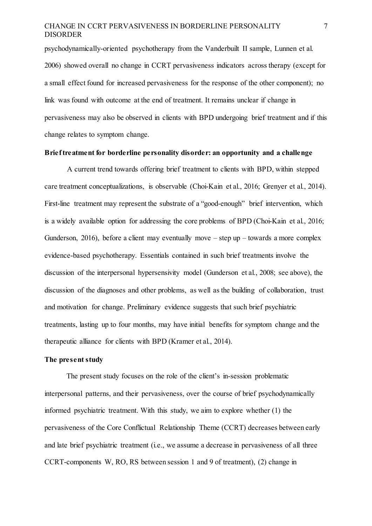psychodynamically-oriented psychotherapy from the Vanderbuilt II sample, Lunnen et al. 2006) showed overall no change in CCRT pervasiveness indicators across therapy (except for a small effect found for increased pervasiveness for the response of the other component); no link was found with outcome at the end of treatment. It remains unclear if change in pervasiveness may also be observed in clients with BPD undergoing brief treatment and if this change relates to symptom change.

#### **Brief treatment for borderline personality disorder: an opportunity and a challenge**

A current trend towards offering brief treatment to clients with BPD, within stepped care treatment conceptualizations, is observable (Choi-Kain et al., 2016; Grenyer et al., 2014). First-line treatment may represent the substrate of a "good-enough" brief intervention, which is a widely available option for addressing the core problems of BPD (Choi-Kain et al., 2016; Gunderson, 2016), before a client may eventually move – step up – towards a more complex evidence-based psychotherapy. Essentials contained in such brief treatments involve the discussion of the interpersonal hypersensivity model (Gunderson et al., 2008; see above), the discussion of the diagnoses and other problems, as well as the building of collaboration, trust and motivation for change. Preliminary evidence suggests that such brief psychiatric treatments, lasting up to four months, may have initial benefits for symptom change and the therapeutic alliance for clients with BPD (Kramer et al., 2014).

### **The present study**

The present study focuses on the role of the client's in-session problematic interpersonal patterns, and their pervasiveness, over the course of brief psychodynamically informed psychiatric treatment. With this study, we aim to explore whether (1) the pervasiveness of the Core Conflictual Relationship Theme (CCRT) decreases between early and late brief psychiatric treatment (i.e., we assume a decrease in pervasiveness of all three CCRT-components W, RO, RS between session 1 and 9 of treatment), (2) change in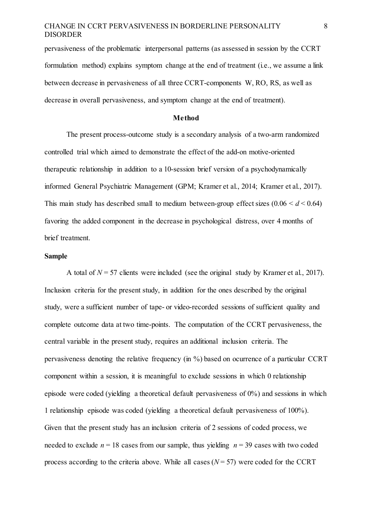pervasiveness of the problematic interpersonal patterns (as assessed in session by the CCRT formulation method) explains symptom change at the end of treatment (i.e., we assume a link between decrease in pervasiveness of all three CCRT-components W, RO, RS, as well as decrease in overall pervasiveness, and symptom change at the end of treatment).

#### **Method**

The present process-outcome study is a secondary analysis of a two-arm randomized controlled trial which aimed to demonstrate the effect of the add-on motive-oriented therapeutic relationship in addition to a 10-session brief version of a psychodynamically informed General Psychiatric Management (GPM; Kramer et al., 2014; Kramer et al., 2017). This main study has described small to medium between-group effect sizes  $(0.06 \le d \le 0.64)$ favoring the added component in the decrease in psychological distress, over 4 months of brief treatment.

#### **Sample**

A total of  $N = 57$  clients were included (see the original study by Kramer et al., 2017). Inclusion criteria for the present study, in addition for the ones described by the original study, were a sufficient number of tape- or video-recorded sessions of sufficient quality and complete outcome data at two time-points. The computation of the CCRT pervasiveness, the central variable in the present study, requires an additional inclusion criteria. The pervasiveness denoting the relative frequency (in %) based on ocurrence of a particular CCRT component within a session, it is meaningful to exclude sessions in which 0 relationship episode were coded (yielding a theoretical default pervasiveness of 0%) and sessions in which 1 relationship episode was coded (yielding a theoretical default pervasiveness of 100%). Given that the present study has an inclusion criteria of 2 sessions of coded process, we needed to exclude  $n = 18$  cases from our sample, thus yielding  $n = 39$  cases with two coded process according to the criteria above. While all cases  $(N = 57)$  were coded for the CCRT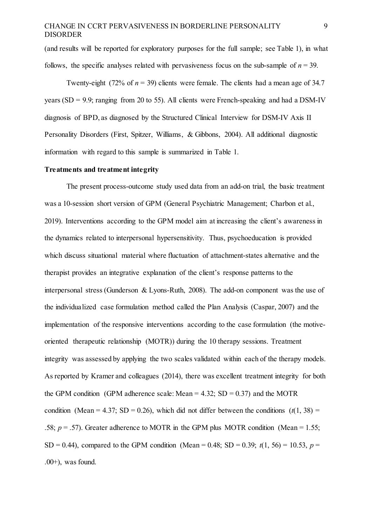(and results will be reported for exploratory purposes for the full sample; see Table 1), in what follows, the specific analyses related with pervasiveness focus on the sub-sample of  $n = 39$ .

Twenty-eight (72% of  $n = 39$ ) clients were female. The clients had a mean age of 34.7 years (SD = 9.9; ranging from 20 to 55). All clients were French-speaking and had a DSM-IV diagnosis of BPD, as diagnosed by the Structured Clinical Interview for DSM-IV Axis II Personality Disorders (First, Spitzer, Williams, & Gibbons, 2004). All additional diagnostic information with regard to this sample is summarized in Table 1.

#### **Treatments and treatment integrity**

The present process-outcome study used data from an add-on trial, the basic treatment was a 10-session short version of GPM (General Psychiatric Management; Charbon et al., 2019). Interventions according to the GPM model aim at increasing the client's awareness in the dynamics related to interpersonal hypersensitivity. Thus, psychoeducation is provided which discuss situational material where fluctuation of attachment-states alternative and the therapist provides an integrative explanation of the client's response patterns to the interpersonal stress (Gunderson & Lyons-Ruth, 2008). The add-on component was the use of the individualized case formulation method called the Plan Analysis (Caspar, 2007) and the implementation of the responsive interventions according to the case formulation (the motiveoriented therapeutic relationship (MOTR)) during the 10 therapy sessions. Treatment integrity was assessed by applying the two scales validated within each of the therapy models. As reported by Kramer and colleagues (2014), there was excellent treatment integrity for both the GPM condition (GPM adherence scale: Mean =  $4.32$ ; SD = 0.37) and the MOTR condition (Mean = 4.37; SD = 0.26), which did not differ between the conditions  $(t(1, 38))$  = .58;  $p = .57$ ). Greater adherence to MOTR in the GPM plus MOTR condition (Mean = 1.55; SD = 0.44), compared to the GPM condition (Mean = 0.48; SD = 0.39;  $t(1, 56) = 10.53$ ,  $p =$  $.00+)$ , was found.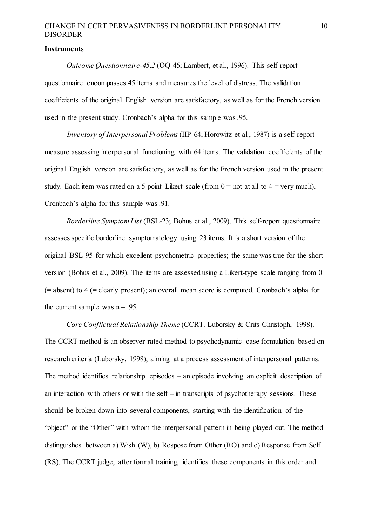#### **Instruments**

*Outcome Questionnaire-45.2* (OQ-45; Lambert, et al., 1996). This self-report questionnaire encompasses 45 items and measures the level of distress. The validation coefficients of the original English version are satisfactory, as well as for the French version used in the present study. Cronbach's alpha for this sample was .95.

*Inventory of Interpersonal Problems* (IIP-64; Horowitz et al., 1987) is a self-report measure assessing interpersonal functioning with 64 items. The validation coefficients of the original English version are satisfactory, as well as for the French version used in the present study. Each item was rated on a 5-point Likert scale (from  $0 =$  not at all to  $4 =$  very much). Cronbach's alpha for this sample was .91.

*Borderline Symptom List* (BSL-23; Bohus et al., 2009). This self-report questionnaire assesses specific borderline symptomatology using 23 items. It is a short version of the original BSL-95 for which excellent psychometric properties; the same was true for the short version (Bohus et al., 2009). The items are assessed using a Likert-type scale ranging from 0 (= absent) to 4 (= clearly present); an overall mean score is computed. Cronbach's alpha for the current sample was  $\alpha = .95$ .

*Core Conflictual Relationship Theme* (CCRT*;* Luborsky & Crits-Christoph, 1998). The CCRT method is an observer-rated method to psychodynamic case formulation based on research criteria (Luborsky, 1998), aiming at a process assessment of interpersonal patterns. The method identifies relationship episodes – an episode involving an explicit description of an interaction with others or with the self – in transcripts of psychotherapy sessions. These should be broken down into several components, starting with the identification of the "object" or the "Other" with whom the interpersonal pattern in being played out. The method distinguishes between a) Wish (W), b) Respose from Other (RO) and c) Response from Self (RS). The CCRT judge, after formal training, identifies these components in this order and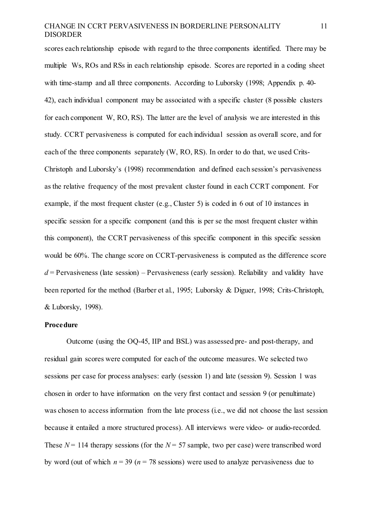scores each relationship episode with regard to the three components identified. There may be multiple Ws, ROs and RSs in each relationship episode. Scores are reported in a coding sheet with time-stamp and all three components. According to Luborsky (1998; Appendix p. 40- 42), each individual component may be associated with a specific cluster (8 possible clusters for each component W, RO, RS). The latter are the level of analysis we are interested in this study. CCRT pervasiveness is computed for each individual session as overall score, and for each of the three components separately (W, RO, RS). In order to do that, we used Crits-Christoph and Luborsky's (1998) recommendation and defined each session's pervasiveness as the relative frequency of the most prevalent cluster found in each CCRT component. For example, if the most frequent cluster (e.g., Cluster 5) is coded in 6 out of 10 instances in specific session for a specific component (and this is per se the most frequent cluster within this component), the CCRT pervasiveness of this specific component in this specific session would be 60%. The change score on CCRT-pervasiveness is computed as the difference score  $d =$  Pervasiveness (late session) – Pervasiveness (early session). Reliability and validity have been reported for the method (Barber et al., 1995; Luborsky & Diguer, 1998; Crits-Christoph, & Luborsky, 1998).

### **Procedure**

Outcome (using the OQ-45, IIP and BSL) was assessed pre- and post-therapy, and residual gain scores were computed for each of the outcome measures. We selected two sessions per case for process analyses: early (session 1) and late (session 9). Session 1 was chosen in order to have information on the very first contact and session 9 (or penultimate) was chosen to access information from the late process (i.e., we did not choose the last session because it entailed a more structured process). All interviews were video- or audio-recorded. These  $N = 114$  therapy sessions (for the  $N = 57$  sample, two per case) were transcribed word by word (out of which  $n = 39$  ( $n = 78$  sessions) were used to analyze pervasiveness due to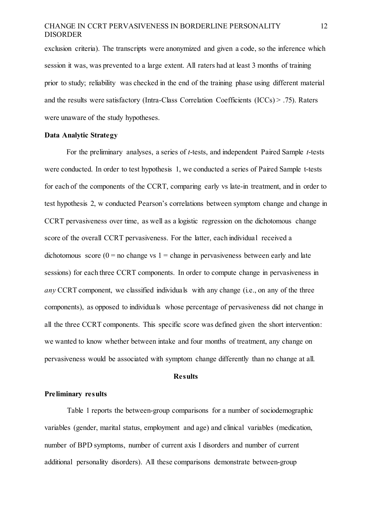exclusion criteria). The transcripts were anonymized and given a code, so the inference which session it was, was prevented to a large extent. All raters had at least 3 months of training prior to study; reliability was checked in the end of the training phase using different material and the results were satisfactory (Intra-Class Correlation Coefficients (ICCs) > .75). Raters were unaware of the study hypotheses.

#### **Data Analytic Strategy**

For the preliminary analyses, a series of *t*-tests, and independent Paired Sample *t*-tests were conducted. In order to test hypothesis 1, we conducted a series of Paired Sample t-tests for each of the components of the CCRT, comparing early vs late-in treatment, and in order to test hypothesis 2, w conducted Pearson's correlations between symptom change and change in CCRT pervasiveness over time, as well as a logistic regression on the dichotomous change score of the overall CCRT pervasiveness. For the latter, each individual received a dichotomous score ( $0 =$  no change vs 1 = change in pervasiveness between early and late sessions) for each three CCRT components. In order to compute change in pervasiveness in *any* CCRT component, we classified individuals with any change (i.e., on any of the three components), as opposed to individuals whose percentage of pervasiveness did not change in all the three CCRT components. This specific score was defined given the short intervention: we wanted to know whether between intake and four months of treatment, any change on pervasiveness would be associated with symptom change differently than no change at all.

#### **Results**

## **Preliminary results**

Table 1 reports the between-group comparisons for a number of sociodemographic variables (gender, marital status, employment and age) and clinical variables (medication, number of BPD symptoms, number of current axis I disorders and number of current additional personality disorders). All these comparisons demonstrate between-group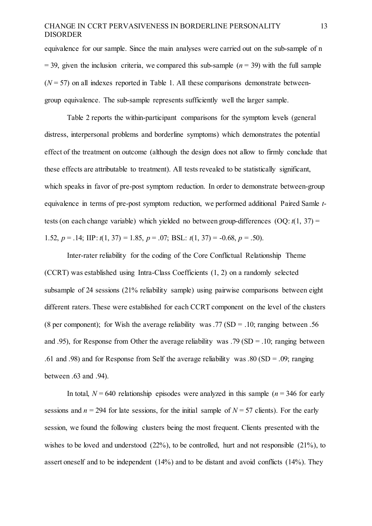equivalence for our sample. Since the main analyses were carried out on the sub-sample of n  $=$  39, given the inclusion criteria, we compared this sub-sample ( $n = 39$ ) with the full sample  $(N = 57)$  on all indexes reported in Table 1. All these comparisons demonstrate betweengroup equivalence. The sub-sample represents sufficiently well the larger sample.

Table 2 reports the within-participant comparisons for the symptom levels (general distress, interpersonal problems and borderline symptoms) which demonstrates the potential effect of the treatment on outcome (although the design does not allow to firmly conclude that these effects are attributable to treatment). All tests revealed to be statistically significant, which speaks in favor of pre-post symptom reduction. In order to demonstrate between-group equivalence in terms of pre-post symptom reduction, we performed additional Paired Samle *t*tests (on each change variable) which yielded no between group-differences (OQ: *t*(1, 37) = 1.52,  $p = .14$ ; IIP:  $t(1, 37) = 1.85$ ,  $p = .07$ ; BSL:  $t(1, 37) = -0.68$ ,  $p = .50$ ).

Inter-rater reliability for the coding of the Core Conflictual Relationship Theme (CCRT) was established using Intra-Class Coefficients (1, 2) on a randomly selected subsample of 24 sessions (21% reliability sample) using pairwise comparisons between eight different raters. These were established for each CCRT component on the level of the clusters (8 per component); for Wish the average reliability was  $.77$  (SD =  $.10$ ; ranging between  $.56$ and .95), for Response from Other the average reliability was .79 (SD = .10; ranging between .61 and .98) and for Response from Self the average reliability was .80 (SD = .09; ranging between .63 and .94).

In total,  $N = 640$  relationship episodes were analyzed in this sample ( $n = 346$  for early sessions and  $n = 294$  for late sessions, for the initial sample of  $N = 57$  clients). For the early session, we found the following clusters being the most frequent. Clients presented with the wishes to be loved and understood (22%), to be controlled, hurt and not responsible (21%), to assert oneself and to be independent (14%) and to be distant and avoid conflicts (14%). They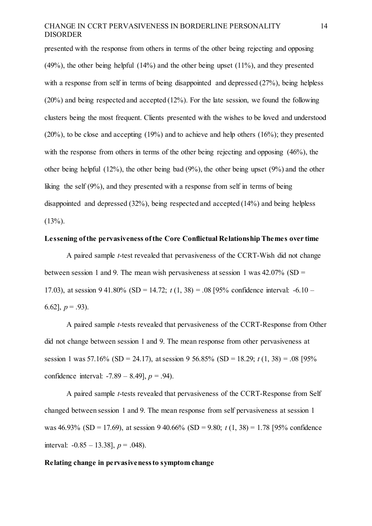presented with the response from others in terms of the other being rejecting and opposing (49%), the other being helpful (14%) and the other being upset (11%), and they presented with a response from self in terms of being disappointed and depressed (27%), being helpless (20%) and being respected and accepted (12%). For the late session, we found the following clusters being the most frequent. Clients presented with the wishes to be loved and understood (20%), to be close and accepting (19%) and to achieve and help others (16%); they presented with the response from others in terms of the other being rejecting and opposing  $(46%)$ , the other being helpful (12%), the other being bad (9%), the other being upset (9%) and the other liking the self (9%), and they presented with a response from self in terms of being disappointed and depressed (32%), being respected and accepted (14%) and being helpless  $(13\%)$ .

#### **Lessening of the pervasiveness ofthe Core Conflictual Relationship Themes over time**

A paired sample *t*-test revealed that pervasiveness of the CCRT-Wish did not change between session 1 and 9. The mean wish pervasiveness at session 1 was  $42.07\%$  (SD = 17.03), at session 9 41.80% (SD = 14.72; *t* (1, 38) = .08 [95% confidence interval: -6.10 – 6.62],  $p = .93$ ).

A paired sample *t*-tests revealed that pervasiveness of the CCRT-Response from Other did not change between session 1 and 9. The mean response from other pervasiveness at session 1 was 57.16% (SD = 24.17), at session 9 56.85% (SD = 18.29; *t* (1, 38) = .08 [95% confidence interval: -7.89 – 8.49], *p* = .94).

A paired sample *t*-tests revealed that pervasiveness of the CCRT-Response from Self changed between session 1 and 9. The mean response from self pervasiveness at session 1 was 46.93% (SD = 17.69), at session 9 40.66% (SD = 9.80; *t* (1, 38) = 1.78 [95% confidence interval: -0.85 – 13.38], *p* = .048).

#### **Relating change in pervasiveness to symptom change**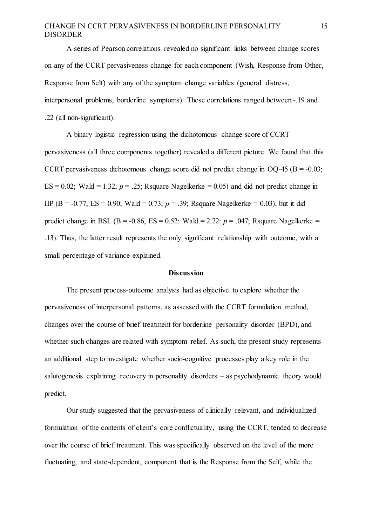A series of Pearson correlations revealed no significant links between change scores on any of the CCRT pervasiveness change for each component (Wish, Response from Other, Response from Self) with any of the symptom change variables (general distress, interpersonal problems, borderline symptoms). These correlations ranged between -.19 and .22 (all non-significant).

A binary logistic regression using the dichotomous change score of CCRT pervasiveness (all three components together) revealed a different picture. We found that this CCRT pervasiveness dichotomous change score did not predict change in  $OQ-45$  (B = -0.03;  $ES = 0.02$ ; Wald = 1.32;  $p = 0.25$ ; Rsquare Nagelkerke = 0.05) and did not predict change in IIP (B = -0.77; ES = 0.90; Wald = 0.73;  $p = 0.39$ ; Rsquare Nagelkerke = 0.03), but it did predict change in BSL (B =  $-0.86$ , ES =  $0.52$ : Wald =  $2.72$ :  $p = .047$ ; Rsquare Nagelkerke = .13). Thus, the latter result represents the only significant relationship with outcome, with a small percentage of variance explained.

#### **Discussion**

The present process-outcome analysis had as objective to explore whether the pervasiveness of interpersonal patterns, as assessed with the CCRT formulation method, changes over the course of brief treatment for borderline personality disorder (BPD), and whether such changes are related with symptom relief. As such, the present study represents an additional step to investigate whether socio-cognitive processes play a key role in the salutogenesis explaining recovery in personality disorders – as psychodynamic theory would predict.

Our study suggested that the pervasiveness of clinically relevant, and individualized formulation of the contents of client's core conflictuality, using the CCRT, tended to decrease over the course of brief treatment. This was specifically observed on the level of the more fluctuating, and state-dependent, component that is the Response from the Self, while the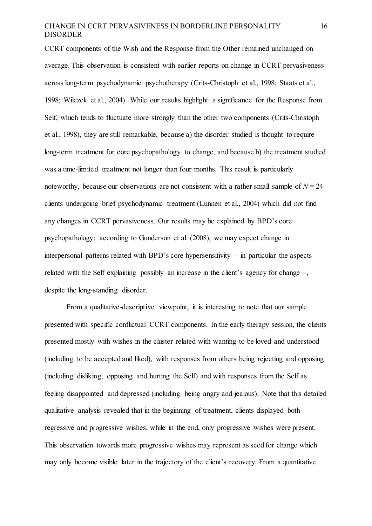CCRT components of the Wish and the Response from the Other remained unchanged on average. This observation is consistent with earlier reports on change in CCRT pervasiveness across long-term psychodynamic psychotherapy (Crits-Christoph et al., 1998; Staats et al., 1998; Wilczek et al., 2004). While our results highlight a significance for the Response from Self, which tends to fluctuate more strongly than the other two components (Crits-Christoph et al., 1998), they are still remarkable, because a) the disorder studied is thought to require long-term treatment for core psychopathology to change, and because b) the treatment studied was a time-limited treatment not longer than four months. This result is particularly noteworthy, because our observations are not consistent with a rather small sample of  $N = 24$ clients undergoing brief psychodynamic treatment (Lunnen et al., 2004) which did not find any changes in CCRT pervasiveness. Our results may be explained by BPD's core psychopathology: according to Gunderson et al. (2008), we may expect change in interpersonal patterns related with BPD's core hypersensitivity – in particular the aspects related with the Self explaining possibly an increase in the client's agency for change –, despite the long-standing disorder.

From a qualitative-descriptive viewpoint, it is interesting to note that our sample presented with specific conflictual CCRT components. In the early therapy session, the clients presented mostly with wishes in the cluster related with wanting to be loved and understood (including to be accepted and liked), with responses from others being rejecting and opposing (including disliking, opposing and hurting the Self) and with responses from the Self as feeling disappointed and depressed (including being angry and jealous). Note that this detailed qualitative analysis revealed that in the beginning of treatment, clients displayed both regressive and progressive wishes, while in the end, only progressive wishes were present. This observation towards more progressive wishes may represent as seed for change which may only become visible later in the trajectory of the client's recovery. From a quantitative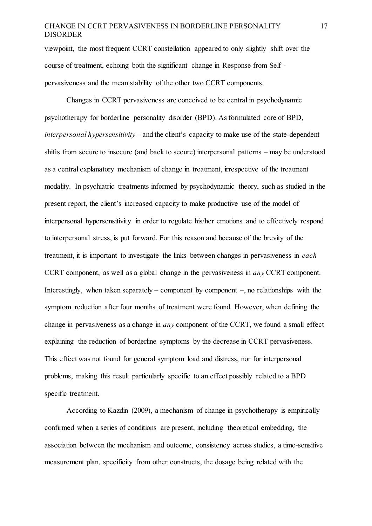viewpoint, the most frequent CCRT constellation appeared to only slightly shift over the course of treatment, echoing both the significant change in Response from Self pervasiveness and the mean stability of the other two CCRT components.

Changes in CCRT pervasiveness are conceived to be central in psychodynamic psychotherapy for borderline personality disorder (BPD). As formulated core of BPD, *interpersonal hypersensitivity* – and the client's capacity to make use of the state-dependent shifts from secure to insecure (and back to secure) interpersonal patterns – may be understood as a central explanatory mechanism of change in treatment, irrespective of the treatment modality. In psychiatric treatments informed by psychodynamic theory, such as studied in the present report, the client's increased capacity to make productive use of the model of interpersonal hypersensitivity in order to regulate his/her emotions and to effectively respond to interpersonal stress, is put forward. For this reason and because of the brevity of the treatment, it is important to investigate the links between changes in pervasiveness in *each*  CCRT component, as well as a global change in the pervasiveness in *any* CCRT component. Interestingly, when taken separately – component by component  $-$ , no relationships with the symptom reduction after four months of treatment were found. However, when defining the change in pervasiveness as a change in *any* component of the CCRT, we found a small effect explaining the reduction of borderline symptoms by the decrease in CCRT pervasiveness. This effect was not found for general symptom load and distress, nor for interpersonal problems, making this result particularly specific to an effect possibly related to a BPD specific treatment.

According to Kazdin (2009), a mechanism of change in psychotherapy is empirically confirmed when a series of conditions are present, including theoretical embedding, the association between the mechanism and outcome, consistency across studies, a time-sensitive measurement plan, specificity from other constructs, the dosage being related with the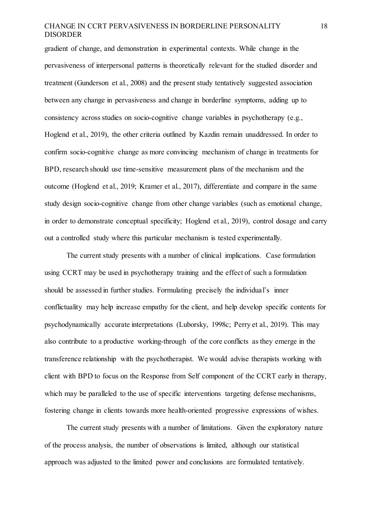gradient of change, and demonstration in experimental contexts. While change in the pervasiveness of interpersonal patterns is theoretically relevant for the studied disorder and treatment (Gunderson et al., 2008) and the present study tentatively suggested association between any change in pervasiveness and change in borderline symptoms, adding up to consistency across studies on socio-cognitive change variables in psychotherapy (e.g., Hoglend et al., 2019), the other criteria outlined by Kazdin remain unaddressed. In order to confirm socio-cognitive change as more convincing mechanism of change in treatments for BPD, research should use time-sensitive measurement plans of the mechanism and the outcome (Hoglend et al., 2019; Kramer et al., 2017), differentiate and compare in the same study design socio-cognitive change from other change variables (such as emotional change, in order to demonstrate conceptual specificity; Hoglend et al., 2019), control dosage and carry out a controlled study where this particular mechanism is tested experimentally.

The current study presents with a number of clinical implications. Case formulation using CCRT may be used in psychotherapy training and the effect of such a formulation should be assessed in further studies. Formulating precisely the individual's inner conflictuality may help increase empathy for the client, and help develop specific contents for psychodynamically accurate interpretations (Luborsky, 1998c; Perry et al., 2019). This may also contribute to a productive working-through of the core conflicts as they emerge in the transference relationship with the psychotherapist. We would advise therapists working with client with BPD to focus on the Response from Self component of the CCRT early in therapy, which may be paralleled to the use of specific interventions targeting defense mechanisms, fostering change in clients towards more health-oriented progressive expressions of wishes.

The current study presents with a number of limitations. Given the exploratory nature of the process analysis, the number of observations is limited, although our statistical approach was adjusted to the limited power and conclusions are formulated tentatively.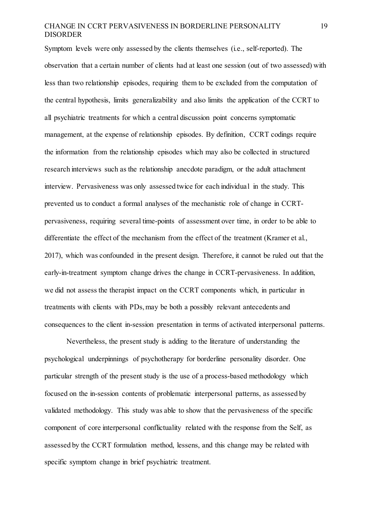Symptom levels were only assessed by the clients themselves (i.e., self-reported). The observation that a certain number of clients had at least one session (out of two assessed) with less than two relationship episodes, requiring them to be excluded from the computation of the central hypothesis, limits generalizability and also limits the application of the CCRT to all psychiatric treatments for which a central discussion point concerns symptomatic management, at the expense of relationship episodes. By definition, CCRT codings require the information from the relationship episodes which may also be collected in structured research interviews such as the relationship anecdote paradigm, or the adult attachment interview. Pervasiveness was only assessed twice for each individual in the study. This prevented us to conduct a formal analyses of the mechanistic role of change in CCRTpervasiveness, requiring several time-points of assessment over time, in order to be able to differentiate the effect of the mechanism from the effect of the treatment (Kramer et al., 2017), which was confounded in the present design. Therefore, it cannot be ruled out that the early-in-treatment symptom change drives the change in CCRT-pervasiveness. In addition, we did not assess the therapist impact on the CCRT components which, in particular in treatments with clients with PDs, may be both a possibly relevant antecedents and consequences to the client in-session presentation in terms of activated interpersonal patterns.

Nevertheless, the present study is adding to the literature of understanding the psychological underpinnings of psychotherapy for borderline personality disorder. One particular strength of the present study is the use of a process-based methodology which focused on the in-session contents of problematic interpersonal patterns, as assessed by validated methodology. This study was able to show that the pervasiveness of the specific component of core interpersonal conflictuality related with the response from the Self, as assessed by the CCRT formulation method, lessens, and this change may be related with specific symptom change in brief psychiatric treatment.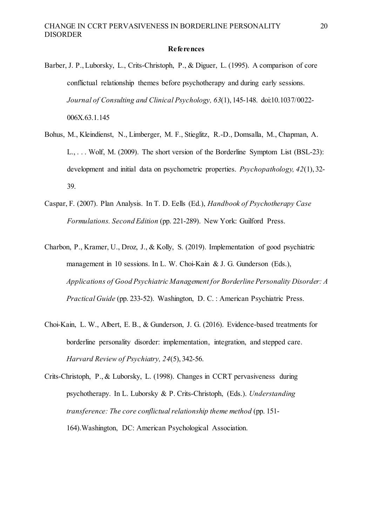#### **References**

- Barber, J. P., Luborsky, L., Crits-Christoph, P., & Diguer, L. (1995). A comparison of core conflictual relationship themes before psychotherapy and during early sessions. *Journal of Consulting and Clinical Psychology, 63*(1), 145-148. doi:10.1037/0022- 006X.63.1.145
- Bohus, M., Kleindienst, N., Limberger, M. F., Stieglitz, R.-D., Domsalla, M., Chapman, A. L., . . . Wolf, M. (2009). The short version of the Borderline Symptom List (BSL-23): development and initial data on psychometric properties. *Psychopathology, 42*(1), 32- 39.
- Caspar, F. (2007). Plan Analysis. In T. D. Eells (Ed.), *Handbook of Psychotherapy Case Formulations. Second Edition* (pp. 221-289). New York: Guilford Press.
- Charbon, P., Kramer, U., Droz, J., & Kolly, S. (2019). Implementation of good psychiatric management in 10 sessions. In L. W. Choi-Kain & J. G. Gunderson (Eds.), *Applications of Good Psychiatric Management for Borderline Personality Disorder: A Practical Guide* (pp. 233-52). Washington, D. C. : American Psychiatric Press.
- Choi-Kain, L. W., Albert, E. B., & Gunderson, J. G. (2016). Evidence-based treatments for borderline personality disorder: implementation, integration, and stepped care. *Harvard Review of Psychiatry, 24*(5), 342-56.
- Crits-Christoph, P., & Luborsky, L. (1998). Changes in CCRT pervasiveness during psychotherapy. In L. Luborsky & P. Crits-Christoph, (Eds.). *Understanding transference: The core conflictual relationship theme method* (pp. 151- 164).Washington, DC: American Psychological Association.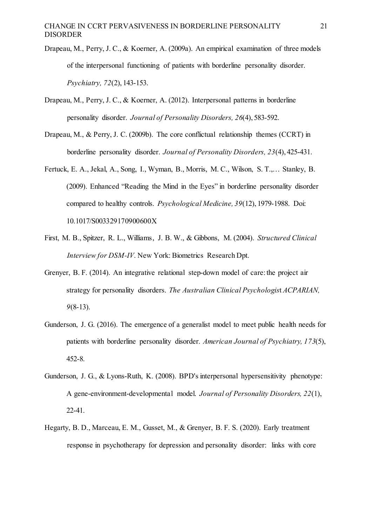- Drapeau, M., Perry, J. C., & Koerner, A. (2009a). An empirical examination of three models of the interpersonal functioning of patients with borderline personality disorder. *Psychiatry, 72*(2), 143-153.
- Drapeau, M., Perry, J. C., & Koerner, A. (2012). Interpersonal patterns in borderline personality disorder. *Journal of Personality Disorders, 26*(4), 583-592.
- Drapeau, M., & Perry, J. C. (2009b). The core conflictual relationship themes (CCRT) in borderline personality disorder. *Journal of Personality Disorders, 23*(4), 425-431.
- Fertuck, E. A., Jekal, A., Song, I., Wyman, B., Morris, M. C., Wilson, S. T.,… Stanley, B. (2009). Enhanced "Reading the Mind in the Eyes" in borderline personality disorder compared to healthy controls. *Psychological Medicine, 39*(12), 1979-1988. Doi: 10.1017/S003329170900600X
- First, M. B., Spitzer, R. L., Williams, J. B. W., & Gibbons, M. (2004). *Structured Clinical Interview for DSM-IV*. New York: Biometrics Research Dpt.
- Grenyer, B. F. (2014). An integrative relational step-down model of care: the project air strategy for personality disorders. *The Australian Clinical Psychologis*t *ACPARIAN, 9*(8-13).
- Gunderson, J. G. (2016). The emergence of a generalist model to meet public health needs for patients with borderline personality disorder. *American Journal of Psychiatry, 173*(5), 452-8.
- Gunderson, J. G., & Lyons-Ruth, K. (2008). BPD's interpersonal hypersensitivity phenotype: A gene-environment-developmental model. *Journal of Personality Disorders, 22*(1), 22-41.
- Hegarty, B. D., Marceau, E. M., Gusset, M., & Grenyer, B. F. S. (2020). Early treatment response in psychotherapy for depression and personality disorder: links with core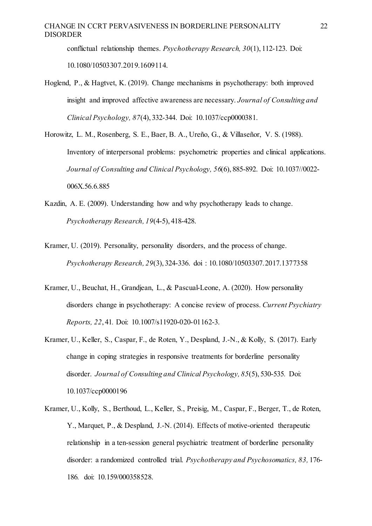conflictual relationship themes. *Psychotherapy Research, 30*(1), 112-123. Doi: 10.1080/10503307.2019.1609114.

- Hoglend, P., & Hagtvet, K. (2019). Change mechanisms in psychotherapy: both improved insight and improved affective awareness are necessary. *Journal of Consulting and Clinical Psychology, 87*(4), 332-344. Doi: 10.1037/ccp0000381.
- Horowitz, L. M., Rosenberg, S. E., Baer, B. A., Ureño, G., & Villaseñor, V. S. (1988). Inventory of interpersonal problems: psychometric properties and clinical applications. *Journal of Consulting and Clinical Psychology, 56*(6), 885-892. Doi: 10.1037//0022- 006X.56.6.885
- Kazdin, A. E. (2009). Understanding how and why psychotherapy leads to change. *Psychotherapy Research, 19*(4-5), 418-428.
- Kramer, U. (2019). Personality, personality disorders, and the process of change. *Psychotherapy Research, 29*(3), 324-336. doi : 10.1080/10503307.2017.1377358
- Kramer, U., Beuchat, H., Grandjean, L., & Pascual-Leone, A. (2020). How personality disorders change in psychotherapy: A concise review of process. *Current Psychiatry Reports, 22*, 41*.* Doi: 10.1007/s11920-020-01162-3.
- Kramer, U., Keller, S., Caspar, F., de Roten, Y., Despland, J.-N., & Kolly, S. (2017). Early change in coping strategies in responsive treatments for borderline personality disorder. *Journal of Consulting and Clinical Psychology, 85*(5), 530-535*.* Doi: 10.1037/ccp0000196
- Kramer, U., Kolly, S., Berthoud, L., Keller, S., Preisig, M., Caspar, F., Berger, T., de Roten, Y., Marquet, P., & Despland, J.-N. (2014). Effects of motive-oriented therapeutic relationship in a ten-session general psychiatric treatment of borderline personality disorder: a randomized controlled trial. *Psychotherapy and Psychosomatics, 83,* 176- 186*.* doi: 10.159/000358528.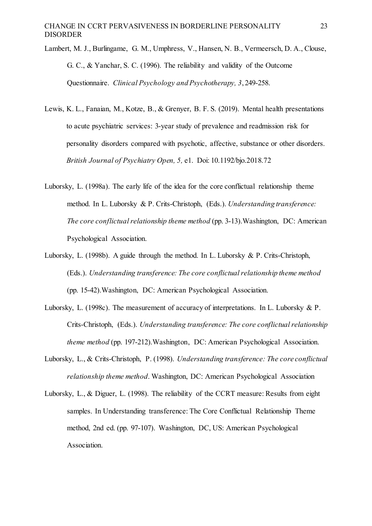Lambert, M. J., Burlingame, G. M., Umphress, V., Hansen, N. B., Vermeersch, D. A., Clouse, G. C., & Yanchar, S. C. (1996). The reliability and validity of the Outcome Questionnaire. *Clinical Psychology and Psychotherapy, 3*, 249-258.

- Lewis, K. L., Fanaian, M., Kotze, B., & Grenyer, B. F. S. (2019). Mental health presentations to acute psychiatric services: 3-year study of prevalence and readmission risk for personality disorders compared with psychotic, affective, substance or other disorders. *British Journal of Psychiatry Open, 5,* e1. Doi: 10.1192/bjo.2018.72
- Luborsky, L. (1998a). The early life of the idea for the core conflictual relationship theme method. In L. Luborsky & P. Crits-Christoph, (Eds.). *Understanding transference: The core conflictual relationship theme method* (pp. 3-13).Washington, DC: American Psychological Association.
- Luborsky, L. (1998b). A guide through the method. In L. Luborsky & P. Crits-Christoph, (Eds.). *Understanding transference: The core conflictual relationship theme method* (pp. 15-42).Washington, DC: American Psychological Association.
- Luborsky, L. (1998c). The measurement of accuracy of interpretations. In L. Luborsky & P. Crits-Christoph, (Eds.). *Understanding transference: The core conflictual relationship theme method* (pp. 197-212).Washington, DC: American Psychological Association.
- Luborsky, L., & Crits-Christoph, P. (1998). *Understanding transference: The core conflictual relationship theme method*. Washington, DC: American Psychological Association
- Luborsky, L., & Diguer, L. (1998). The reliability of the CCRT measure: Results from eight samples. In Understanding transference: The Core Conflictual Relationship Theme method, 2nd ed. (pp. 97-107). Washington, DC, US: American Psychological Association.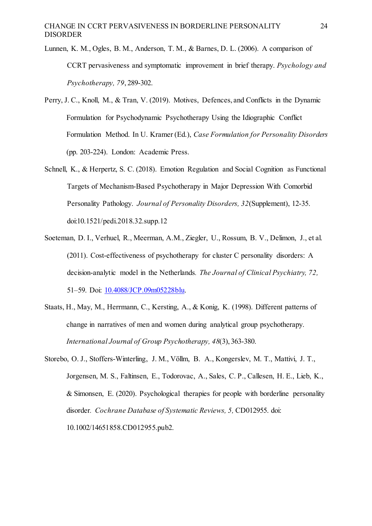- Lunnen, K. M., Ogles, B. M., Anderson, T. M., & Barnes, D. L. (2006). A comparison of CCRT pervasiveness and symptomatic improvement in brief therapy. *Psychology and Psychotherapy, 79*, 289-302.
- Perry, J. C., Knoll, M., & Tran, V. (2019). Motives, Defences, and Conflicts in the Dynamic Formulation for Psychodynamic Psychotherapy Using the Idiographic Conflict Formulation Method. In U. Kramer (Ed.), *Case Formulation for Personality Disorders*  (pp. 203-224). London: Academic Press.
- Schnell, K., & Herpertz, S. C. (2018). Emotion Regulation and Social Cognition as Functional Targets of Mechanism-Based Psychotherapy in Major Depression With Comorbid Personality Pathology. *Journal of Personality Disorders, 32*(Supplement), 12-35. doi:10.1521/pedi.2018.32.supp.12
- Soeteman, D. I., Verhuel, R., Meerman, A.M., Ziegler, U., Rossum, B. V., Delimon, J., et al. (2011). Cost-effectiveness of psychotherapy for cluster C personality disorders: A decision-analytic model in the Netherlands*. The Journal of Clinical Psychiatry, 72,*  51–59. Doi: [10.4088/JCP.09m05228blu.](http://dx.doi.org/10.4088/JCP.09m05228blu)
- Staats, H., May, M., Herrmann, C., Kersting, A., & Konig, K. (1998). Different patterns of change in narratives of men and women during analytical group psychotherapy. *International Journal of Group Psychotherapy, 48*(3), 363-380.
- Storebo, O. J., Stoffers-Winterling, J. M., Völlm, B. A., Kongerslev, M. T., Mattivi, J. T., Jorgensen, M. S., Faltinsen, E., Todorovac, A., Sales, C. P., Callesen, H. E., Lieb, K., & Simonsen, E. (2020). Psychological therapies for people with borderline personality disorder*. Cochrane Database of Systematic Reviews, 5,* CD012955. doi: 10.1002/14651858.CD012955.pub2.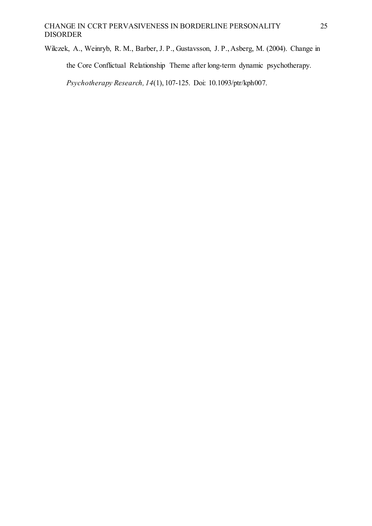Wilczek, A., Weinryb, R. M., Barber, J. P., Gustavsson, J. P., Asberg, M. (2004). Change in

the Core Conflictual Relationship Theme after long-term dynamic psychotherapy.

*Psychotherapy Research, 14*(1), 107-125. Doi: 10.1093/ptr/kph007.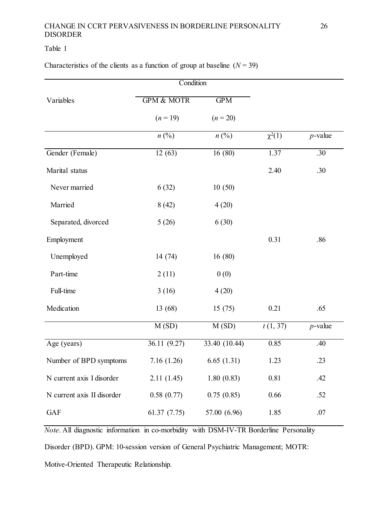# Table 1

Characteristics of the clients as a function of group at baseline  $(N = 39)$ 

|                            | Condition                   |                             |             |            |
|----------------------------|-----------------------------|-----------------------------|-------------|------------|
| Variables                  | <b>GPM &amp; MOTR</b>       | GPM                         |             |            |
|                            | $(n = 19)$                  | $(n = 20)$                  |             |            |
|                            | $n\left(\frac{0}{0}\right)$ | $n\left(\frac{0}{0}\right)$ | $\chi^2(1)$ | $p$ -value |
| Gender (Female)            | 12(63)                      | 16(80)                      | 1.37        | .30        |
| Marital status             |                             |                             | 2.40        | .30        |
| Never married              | 6(32)                       | 10(50)                      |             |            |
| Married                    | 8(42)                       | 4(20)                       |             |            |
| Separated, divorced        | 5(26)                       | 6(30)                       |             |            |
| Employment                 |                             |                             | 0.31        | .86        |
| Unemployed                 | 14 (74)                     | 16(80)                      |             |            |
| Part-time                  | 2(11)                       | 0(0)                        |             |            |
| Full-time                  | 3(16)                       | 4(20)                       |             |            |
| Medication                 | 13 (68)                     | 15(75)                      | 0.21        | .65        |
|                            | M(SD)                       | M(SD)                       | t(1, 37)    | $p$ -value |
| Age (years)                | 36.11 (9.27)                | 33.40 (10.44)               | 0.85        | .40        |
| Number of BPD symptoms     | 7.16(1.26)                  | 6.65(1.31)                  | 1.23        | .23        |
| N current axis I disorder  | 2.11(1.45)                  | 1.80(0.83)                  | 0.81        | .42        |
| N current axis II disorder | 0.58(0.77)                  | 0.75(0.85)                  | 0.66        | .52        |
| <b>GAF</b>                 | 61.37(7.75)                 | 57.00 (6.96)                | 1.85        | .07        |

*Note*. All diagnostic information in co-morbidity with DSM-IV-TR Borderline Personality

Disorder (BPD). GPM: 10-session version of General Psychiatric Management; MOTR: Motive-Oriented Therapeutic Relationship.